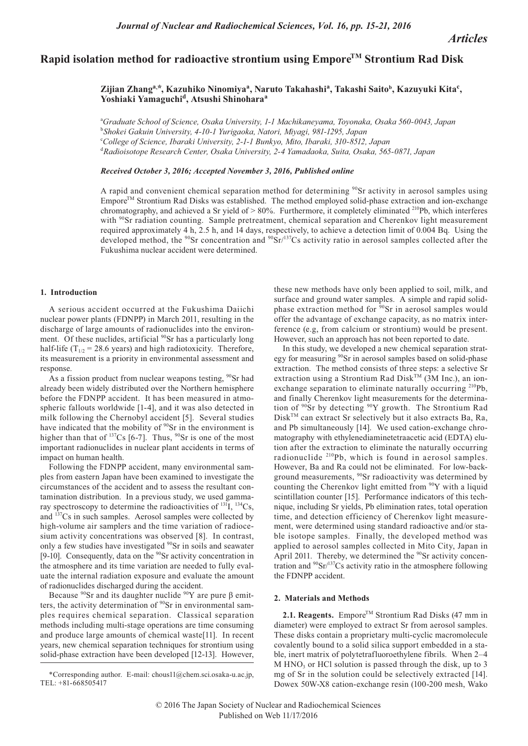*Articles*

# Rapid isolation method for radioactive strontium using Empore<sup>™</sup> Strontium Rad Disk

Zijian Zhang<sup>a,\*</sup>, Kazuhiko Ninomiya<sup>a</sup>, Naruto Takahashi<sup>a</sup>, Takashi Saito<sup>b</sup>, Kazuyuki Kita<sup>c</sup>, **Yoshiaki Yamaguchid, Atsushi Shinoharaa**

a *Graduate School of Science, Osaka University, 1-1 Machikaneyama, Toyonaka, Osaka 560-0043, Japan* b *Shokei Gakuin University, 4-10-1 Yurigaoka, Natori, Miyagi, 981-1295, Japan* c *College of Science, Ibaraki University, 2-1-1 Bunkyo, Mito, Ibaraki, 310-8512, Japan* d *Radioisotope Research Center, Osaka University, 2-4 Yamadaoka, Suita, Osaka, 565-0871, Japan*

*Received October 3, 2016; Accepted November 3, 2016, Published online* 

A rapid and convenient chemical separation method for determining <sup>90</sup>Sr activity in aerosol samples using  $Empore^{\text{TM}}$  Strontium Rad Disks was established. The method employed solid-phase extraction and ion-exchange chromatography, and achieved a Sr yield of  $> 80\%$ . Furthermore, it completely eliminated <sup>210</sup>Pb, which interferes with <sup>90</sup>Sr radiation counting. Sample pretreatment, chemical separation and Cherenkov light measurement required approximately 4 h, 2.5 h, and 14 days, respectively, to achieve a detection limit of 0.004 Bq. Using the developed method, the  $^{90}$ Sr concentration and  $^{90}$ Sr/<sup>137</sup>Cs activity ratio in aerosol samples collected after the Fukushima nuclear accident were determined.

#### **1. Introduction**

A serious accident occurred at the Fukushima Daiichi nuclear power plants (FDNPP) in March 2011, resulting in the discharge of large amounts of radionuclides into the environment. Of these nuclides, artificial <sup>90</sup>Sr has a particularly long half-life ( $T_{1/2}$  = 28.6 years) and high radiotoxicity. Therefore, its measurement is a priority in environmental assessment and response.

As a fission product from nuclear weapons testing,  $90$ Sr had already been widely distributed over the Northern hemisphere before the FDNPP accident. It has been measured in atmospheric fallouts worldwide [1-4], and it was also detected in milk following the Chernobyl accident [5]. Several studies have indicated that the mobility of <sup>90</sup>Sr in the environment is higher than that of  $137Cs$  [6-7]. Thus,  $90Sr$  is one of the most important radionuclides in nuclear plant accidents in terms of impact on human health.

Following the FDNPP accident, many environmental samples from eastern Japan have been examined to investigate the circumstances of the accident and to assess the resultant contamination distribution. In a previous study, we used gammaray spectroscopy to determine the radioactivities of  $^{131}$ I,  $^{134}$ Cs, and <sup>137</sup>Cs in such samples. Aerosol samples were collected by high-volume air samplers and the time variation of radiocesium activity concentrations was observed [8]. In contrast, only a few studies have investigated <sup>90</sup>Sr in soils and seawater [9-10]. Consequently, data on the <sup>90</sup>Sr activity concentration in the atmosphere and its time variation are needed to fully evaluate the internal radiation exposure and evaluate the amount of radionuclides discharged during the accident.

Because  $90$ Sr and its daughter nuclide  $90$ Y are pure β emitters, the activity determination of <sup>90</sup>Sr in environmental samples requires chemical separation. Classical separation methods including multi-stage operations are time consuming and produce large amounts of chemical waste[11]. In recent years, new chemical separation techniques for strontium using solid-phase extraction have been developed [12-13]. However,

these new methods have only been applied to soil, milk, and surface and ground water samples. A simple and rapid solidphase extraction method for  $\frac{90}{9}$ Sr in aerosol samples would offer the advantage of exchange capacity, as no matrix interference (e.g, from calcium or strontium) would be present. However, such an approach has not been reported to date.

In this study, we developed a new chemical separation strategy for measuring <sup>90</sup>Sr in aerosol samples based on solid-phase extraction. The method consists of three steps: a selective Sr extraction using a Strontium Rad Disk™ (3M Inc.), an ionexchange separation to eliminate naturally occurring <sup>210</sup>Pb, and finally Cherenkov light measurements for the determination of <sup>90</sup>Sr by detecting <sup>90</sup>Y growth. The Strontium Rad  $Disk^{TM}$  can extract Sr selectively but it also extracts Ba, Ra, and Pb simultaneously [14]. We used cation-exchange chromatography with ethylenediaminetetraacetic acid (EDTA) elution after the extraction to eliminate the naturally occurring radionuclide 210Pb, which is found in aerosol samples. However, Ba and Ra could not be eliminated. For low-background measurements, <sup>90</sup>Sr radioactivity was determined by counting the Cherenkov light emitted from <sup>90</sup>Y with a liquid scintillation counter [15]. Performance indicators of this technique, including Sr yields, Pb elimination rates, total operation time, and detection efficiency of Cherenkov light measurement, were determined using standard radioactive and/or stable isotope samples. Finally, the developed method was applied to aerosol samples collected in Mito City, Japan in April 2011. Thereby, we determined the <sup>90</sup>Sr activity concentration and  $90\text{Sr}/137\text{Cs}$  activity ratio in the atmosphere following the FDNPP accident.

### **2. Materials and Methods**

**2.1. Reagents.** Empore™ Strontium Rad Disks (47 mm in diameter) were employed to extract Sr from aerosol samples. These disks contain a proprietary multi-cyclic macromolecule covalently bound to a solid silica support embedded in a stable, inert matrix of polytetrafluoroethylene fibrils. When 2–4  $M HNO<sub>3</sub>$  or HCl solution is passed through the disk, up to 3 mg of Sr in the solution could be selectively extracted [14]. Dowex 50W-X8 cation-exchange resin (100-200 mesh, Wako

<sup>\*</sup>Corresponding author. E-mail: chous11@chem.sci.osaka-u.ac.jp, TEL: +81-668505417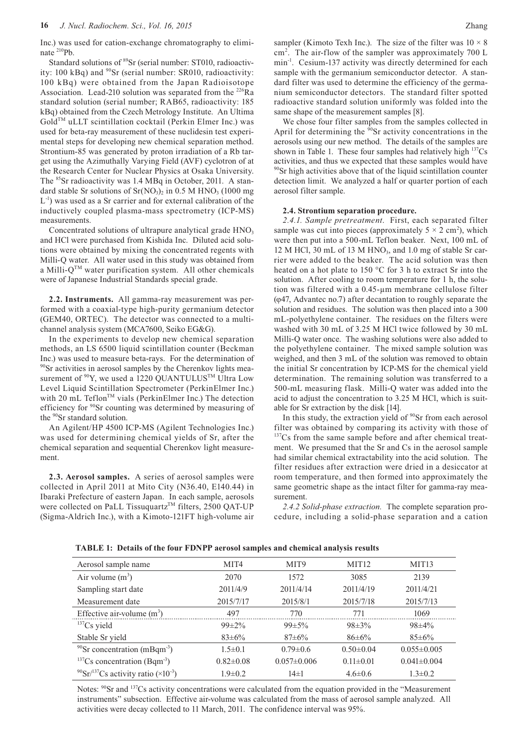Inc.) was used for cation-exchange chromatography to eliminate 210Pb.

Standard solutions of <sup>89</sup>Sr (serial number: ST010, radioactivity: 100 kBq) and <sup>90</sup>Sr (serial number: SR010, radioactivity: 100 kBq) were obtained from the Japan Radioisotope Association. Lead-210 solution was separated from the  $^{226}Ra$ standard solution (serial number; RAB65, radioactivity: 185 kBq) obtained from the Czech Metrology Institute. An Ultima Gold<sup>™</sup> uLLT scintillation cocktail (Perkin Elmer Inc.) was used for beta-ray measurement of these nuclidesin test experimental steps for developing new chemical separation method. Strontium-85 was generated by proton irradiation of a Rb target using the Azimuthally Varying Field (AVF) cyclotron of at the Research Center for Nuclear Physics at Osaka University. The <sup>85</sup>Sr radioactivity was 1.4 MBq in October, 2011. A standard stable Sr solutions of  $Sr(NO<sub>3</sub>)$ , in 0.5 M HNO<sub>3</sub> (1000 mg)  $L^{-1}$ ) was used as a Sr carrier and for external calibration of the inductively coupled plasma-mass spectrometry (ICP-MS) measurements.

Concentrated solutions of ultrapure analytical grade HNO<sub>3</sub> and HCl were purchased from Kishida Inc. Diluted acid solutions were obtained by mixing the concentrated regents with Milli-Q water. All water used in this study was obtained from a Milli- $Q^{TM}$  water purification system. All other chemicals were of Japanese Industrial Standards special grade.

**2.2. Instruments.** All gamma-ray measurement was performed with a coaxial-type high-purity germanium detector (GEM40, ORTEC). The detector was connected to a multichannel analysis system (MCA7600, Seiko EG&G).

In the experiments to develop new chemical separation methods, an LS 6500 liquid scintillation counter (Beckman Inc.) was used to measure beta-rays. For the determination of <sup>90</sup>Sr activities in aerosol samples by the Cherenkov lights measurement of  $90Y$ , we used a 1220 QUANTULUS<sup>TM</sup> Ultra Low Level Liquid Scintillation Spectrometer (PerkinElmer Inc.) with 20 mL Teflon<sup>TM</sup> vials (PerkinElmer Inc.) The detection efficiency for <sup>90</sup>Sr counting was determined by measuring of the 90Sr standard solution.

An Agilent/HP 4500 ICP-MS (Agilent Technologies Inc.) was used for determining chemical yields of Sr, after the chemical separation and sequential Cherenkov light measurement.

**2.3. Aerosol samples.** A series of aerosol samples were collected in April 2011 at Mito City (N36.40, E140.44) in Ibaraki Prefecture of eastern Japan. In each sample, aerosols were collected on PaLL Tissuquartz<sup>TM</sup> filters, 2500 QAT-UP (Sigma-Aldrich Inc.), with a Kimoto-121FT high-volume air sampler (Kimoto Texh Inc.). The size of the filter was  $10 \times 8$ cm2 . The air-flow of the sampler was approximately 700 L min<sup>-1</sup>. Cesium-137 activity was directly determined for each sample with the germanium semiconductor detector. A standard filter was used to determine the efficiency of the germanium semiconductor detectors. The standard filter spotted radioactive standard solution uniformly was folded into the same shape of the measurement samples [8].

We chose four filter samples from the samples collected in April for determining the  $90$ Sr activity concentrations in the aerosols using our new method. The details of the samples are shown in Table 1. These four samples had relatively high  $137Cs$ activities, and thus we expected that these samples would have <sup>90</sup>Sr high activities above that of the liquid scintillation counter detection limit. We analyzed a half or quarter portion of each aerosol filter sample.

#### **2.4. Strontium separation procedure.**

*2.4.1. Sample pretreatment*. First, each separated filter sample was cut into pieces (approximately  $5 \times 2$  cm<sup>2</sup>), which were then put into a 500-mL Teflon beaker. Next, 100 mL of 12 M HCl, 30 mL of 13 M HNO<sub>3</sub>, and 1.0 mg of stable Sr carrier were added to the beaker. The acid solution was then heated on a hot plate to 150 °C for 3 h to extract Sr into the solution. After cooling to room temperature for 1 h, the solution was filtered with a 0.45-μm membrane cellulose filter (φ47, Advantec no.7) after decantation to roughly separate the solution and residues. The solution was then placed into a 300 mL-polyethylene container. The residues on the filters were washed with 30 mL of 3.25 M HCl twice followed by 30 mL Milli-Q water once. The washing solutions were also added to the polyethylene container. The mixed sample solution was weighed, and then 3 mL of the solution was removed to obtain the initial Sr concentration by ICP-MS for the chemical yield determination. The remaining solution was transferred to a 500-mL measuring flask. Milli-Q water was added into the acid to adjust the concentration to 3.25 M HCl, which is suitable for Sr extraction by the disk [14].

In this study, the extraction yield of <sup>90</sup>Sr from each aerosol filter was obtained by comparing its activity with those of <sup>137</sup>Cs from the same sample before and after chemical treatment. We presumed that the Sr and Cs in the aerosol sample had similar chemical extractability into the acid solution. The filter residues after extraction were dried in a desiccator at room temperature, and then formed into approximately the same geometric shape as the intact filter for gamma-ray measurement.

*2.4.2 Solid-phase extraction.* The complete separation procedure, including a solid-phase separation and a cation

| Aerosol sample name                                                              | MIT4            | MIT <sub>9</sub>  | MIT <sub>12</sub> | MIT <sub>13</sub> |
|----------------------------------------------------------------------------------|-----------------|-------------------|-------------------|-------------------|
| Air volume $(m^3)$                                                               | 2070            | 1572              | 3085              | 2139              |
| Sampling start date                                                              | 2011/4/9        | 2011/4/14         | 2011/4/19         | 2011/4/21         |
| Measurement date                                                                 | 2015/7/17       | 2015/8/1          | 2015/7/18         | 2015/7/13         |
| Effective air-volume $(m^3)$                                                     | 497             | 770               | 771               | 1069              |
| $137Cs$ yield                                                                    | $99 \pm 2\%$    | $99 \pm 5\%$      | $98 \pm 3\%$      | $98\pm4\%$        |
| Stable Sr yield                                                                  | $83 \pm 6\%$    | $87 \pm 6\%$      | $86 \pm 6\%$      | $85 \pm 6\%$      |
| $90$ Sr concentration (mBqm <sup>-3</sup> )                                      | $1.5 \pm 0.1$   | $0.79 \pm 0.6$    | $0.50 \pm 0.04$   | $0.055 \pm 0.005$ |
| $137Cs$ concentration (Bqm <sup>-3</sup> )                                       | $0.82 \pm 0.08$ | $0.057 \pm 0.006$ | $0.11 \pm 0.01$   | $0.041 \pm 0.004$ |
| <sup>90</sup> Sr/ <sup>137</sup> Cs activity ratio ( $\times$ 10 <sup>-3</sup> ) | $1.9 \pm 0.2$   | $14\pm1$          | $4.6 \pm 0.6$     | $1.3 \pm 0.2$     |

**TABLE 1: Details of the four FDNPP aerosol samples and chemical analysis results**

Notes: <sup>90</sup>Sr and <sup>137</sup>Cs activity concentrations were calculated from the equation provided in the "Measurement" instruments" subsection. Effective air-volume was calculated from the mass of aerosol sample analyzed. All activities were decay collected to 11 March, 2011. The confidence interval was 95%.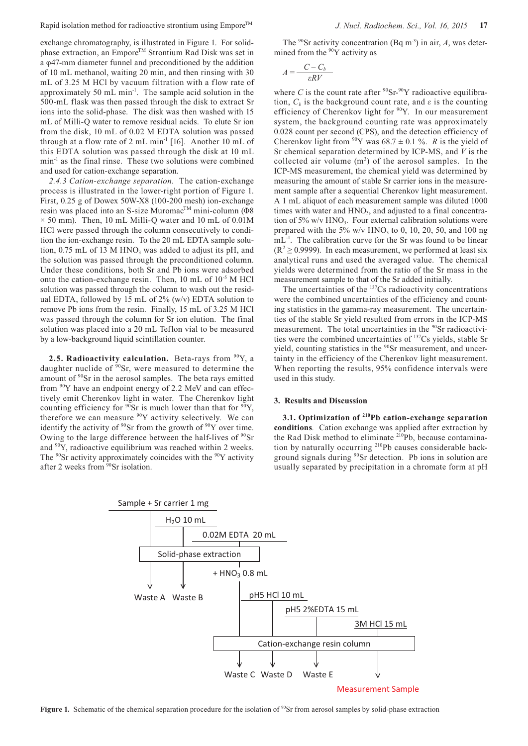Rapid isolation method for radioactive strontium using Empore<sup>TM</sup> *J. Nucl. Radiochem. Sci., Vol. 16, 2015* **17** 

exchange chromatography, is illustrated in Figure 1. For solidphase extraction, an  $\mathsf{Empore}^{\mathsf{TM}}$  Strontium Rad Disk was set in a φ47-mm diameter funnel and preconditioned by the addition of 10 mL methanol, waiting 20 min, and then rinsing with 30 mL of 3.25 M HCl by vacuum filtration with a flow rate of approximately 50 mL min-1. The sample acid solution in the 500-mL flask was then passed through the disk to extract Sr ions into the solid-phase. The disk was then washed with 15 mL of Milli-Q water to remove residual acids. To elute Sr ion from the disk, 10 mL of 0.02 M EDTA solution was passed through at a flow rate of 2 mL min<sup>-1</sup> [16]. Another 10 mL of this EDTA solution was passed through the disk at 10 mL  $min<sup>-1</sup>$  as the final rinse. These two solutions were combined and used for cation-exchange separation.

*2.4.3 Cation-exchange separation.* The cation-exchange process is illustrated in the lower-right portion of Figure 1. First, 0.25 g of Dowex 50W-X8 (100-200 mesh) ion-exchange resin was placed into an S-size Muromac<sup>TM</sup> mini-column (Φ8  $\times$  50 mm). Then, 10 mL Milli-Q water and 10 mL of 0.01M HCl were passed through the column consecutively to condition the ion-exchange resin. To the 20 mL EDTA sample solution,  $0.75$  mL of 13 M HNO<sub>3</sub> was added to adjust its pH, and the solution was passed through the preconditioned column. Under these conditions, both Sr and Pb ions were adsorbed onto the cation-exchange resin. Then, 10 mL of 10-5 M HCl solution was passed through the column to wash out the residual EDTA, followed by 15 mL of 2% (w/v) EDTA solution to remove Pb ions from the resin. Finally, 15 mL of 3.25 M HCl was passed through the column for Sr ion elution. The final solution was placed into a 20 mL Teflon vial to be measured by a low-background liquid scintillation counter.

2.5. Radioactivity calculation. Beta-rays from <sup>90</sup>Y, a daughter nuclide of <sup>90</sup>Sr, were measured to determine the amount of <sup>90</sup>Sr in the aerosol samples. The beta rays emitted from  $90Y$  have an endpoint energy of 2.2 MeV and can effectively emit Cherenkov light in water. The Cherenkov light counting efficiency for  $90$ Sr is much lower than that for  $90$ Y, therefore we can measure  $90Y$  activity selectively. We can identify the activity of  $90$ Sr from the growth of  $90$ Y over time. Owing to the large difference between the half-lives of  $90$ Sr and 90Y, radioactive equilibrium was reached within 2 weeks. The  $90$ Sr activity approximately coincides with the  $90$ Y activity after 2 weeks from  $90$ Sr isolation.

The <sup>90</sup>Sr activity concentration (Bq m<sup>-3</sup>) in air, *A*, was determined from the  $90Y$  activity as

$$
A = \frac{C - C_b}{\varepsilon RV}
$$

where *C* is the count rate after  $90\text{Sr}^{-90}\text{Y}$  radioactive equilibration,  $C_b$  is the background count rate, and  $\varepsilon$  is the counting efficiency of Cherenkov light for <sup>90</sup>Y. In our measurement system, the background counting rate was approximately 0.028 count per second (CPS), and the detection efficiency of Cherenkov light from <sup>90</sup>Y was  $68.7 \pm 0.1$  %. *R* is the yield of Sr chemical separation determined by ICP-MS, and *V* is the collected air volume  $(m<sup>3</sup>)$  of the aerosol samples. In the ICP-MS measurement, the chemical yield was determined by measuring the amount of stable Sr carrier ions in the measurement sample after a sequential Cherenkov light measurement. A 1 mL aliquot of each measurement sample was diluted 1000 times with water and  $HNO<sub>3</sub>$ , and adjusted to a final concentration of  $5\%$  w/v HNO<sub>3</sub>. Four external calibration solutions were prepared with the  $5\%$  w/v HNO<sub>3</sub> to 0, 10, 20, 50, and 100 ng mL<sup>-1</sup>. The calibration curve for the Sr was found to be linear  $(R<sup>2</sup> \ge 0.9999)$ . In each measurement, we performed at least six analytical runs and used the averaged value. The chemical yields were determined from the ratio of the Sr mass in the measurement sample to that of the Sr added initially.

The uncertainties of the  $137Cs$  radioactivity concentrations were the combined uncertainties of the efficiency and counting statistics in the gamma-ray measurement. The uncertainties of the stable Sr yield resulted from errors in the ICP-MS measurement. The total uncertainties in the <sup>90</sup>Sr radioactivities were the combined uncertainties of 137Cs yields, stable Sr yield, counting statistics in the <sup>90</sup>Sr measurement, and uncertainty in the efficiency of the Cherenkov light measurement. When reporting the results, 95% confidence intervals were used in this study.

#### **3. Results and Discussion**

**3.1. Optimization of 210Pb cation-exchange separation conditions***.* Cation exchange was applied after extraction by the Rad Disk method to eliminate <sup>210</sup>Pb, because contamination by naturally occurring 210Pb causes considerable background signals during <sup>90</sup>Sr detection. Pb ions in solution are usually separated by precipitation in a chromate form at pH



**Figure 1.** Schematic of the chemical separation procedure for the isolation of <sup>90</sup>Sr from aerosol samples by solid-phase extraction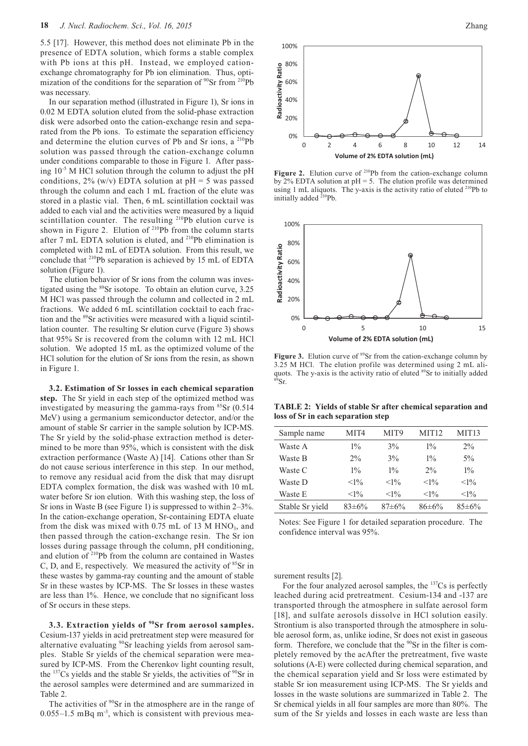5.5 [17]. However, this method does not eliminate Pb in the presence of EDTA solution, which forms a stable complex with Pb ions at this pH. Instead, we employed cationexchange chromatography for Pb ion elimination. Thus, optimization of the conditions for the separation of  $90$ Sr from  $210$ Pb was necessary.

In our separation method (illustrated in Figure 1), Sr ions in 0.02 M EDTA solution eluted from the solid-phase extraction disk were adsorbed onto the cation-exchange resin and separated from the Pb ions. To estimate the separation efficiency and determine the elution curves of Pb and Sr ions, a  $^{210}Pb$ solution was passed through the cation-exchange column under conditions comparable to those in Figure 1. After passing  $10^{-5}$  M HCl solution through the column to adjust the pH conditions,  $2\%$  (w/v) EDTA solution at  $pH = 5$  was passed through the column and each 1 mL fraction of the elute was stored in a plastic vial. Then, 6 mL scintillation cocktail was added to each vial and the activities were measured by a liquid scintillation counter. The resulting <sup>210</sup>Pb elution curve is shown in Figure 2. Elution of <sup>210</sup>Pb from the column starts after 7 mL EDTA solution is eluted, and 210Pb elimination is completed with 12 mL of EDTA solution. From this result, we conclude that 210Pb separation is achieved by 15 mL of EDTA solution (Figure 1).

The elution behavior of Sr ions from the column was investigated using the <sup>89</sup>Sr isotope. To obtain an elution curve, 3.25 M HCl was passed through the column and collected in 2 mL fractions. We added 6 mL scintillation cocktail to each fraction and the 89Sr activities were measured with a liquid scintillation counter. The resulting Sr elution curve (Figure 3) shows that 95% Sr is recovered from the column with 12 mL HCl solution. We adopted 15 mL as the optimized volume of the HCl solution for the elution of Sr ions from the resin, as shown in Figure 1.

**3.2. Estimation of Sr losses in each chemical separation step.** The Sr yield in each step of the optimized method was investigated by measuring the gamma-rays from  ${}^{85}Sr$  (0.514) MeV) using a germanium semiconductor detector, and/or the amount of stable Sr carrier in the sample solution by ICP-MS. The Sr yield by the solid-phase extraction method is determined to be more than 95%, which is consistent with the disk extraction performance (Waste A) [14]. Cations other than Sr do not cause serious interference in this step. In our method, to remove any residual acid from the disk that may disrupt EDTA complex formation, the disk was washed with 10 mL water before Sr ion elution. With this washing step, the loss of Sr ions in Waste B (see Figure 1) is suppressed to within 2–3%. In the cation-exchange operation, Sr-containing EDTA eluate from the disk was mixed with  $0.75$  mL of 13 M HNO<sub>3</sub>, and then passed through the cation-exchange resin. The Sr ion losses during passage through the column, pH conditioning, and elution of 210Pb from the column are contained in Wastes C, D, and E, respectively. We measured the activity of  $85$ Sr in these wastes by gamma-ray counting and the amount of stable Sr in these wastes by ICP-MS. The Sr losses in these wastes are less than 1%. Hence, we conclude that no significant loss of Sr occurs in these steps.

3.3. Extraction yields of <sup>90</sup>Sr from aerosol samples. Cesium-137 yields in acid pretreatment step were measured for alternative evaluating  $^{90}$ Sr leaching yields from aerosol samples. Stable Sr yields of the chemical separation were measured by ICP-MS. From the Cherenkov light counting result, the  $137Cs$  yields and the stable Sr yields, the activities of  $90Sr$  in the aerosol samples were determined and are summarized in Table 2.

The activities of <sup>90</sup>Sr in the atmosphere are in the range of  $0.055-1.5$  mBq m<sup>-3</sup>, which is consistent with previous mea-



Figure 2. Elution curve of <sup>210</sup>Pb from the cation-exchange column by  $2\%$  EDTA solution at pH = 5. The elution profile was determined using 1 mL aliquots. The y-axis is the activity ratio of eluted <sup>210</sup>Pb to initially added <sup>210</sup>Pb.



**Figure 3.** Elution curve of <sup>89</sup>Sr from the cation-exchange column by 3.25 M HCl. The elution profile was determined using 2 mL ali-3.25 M HCl. The elution profile was determined using 2 mL aliquots. The y-axis is the activity ratio of eluted  ${}^{89}Sr$  to initially added  ${}^{89}Sr$ .

**TABLE 2: Yields of stable Sr after chemical separation and loss of Sr in each separation step**

| Sample name     | MIT4        | MIT <sub>9</sub> | MIT <sub>12</sub> | MIT <sub>13</sub> |  |
|-----------------|-------------|------------------|-------------------|-------------------|--|
| Waste A         | $1\%$       | $3\%$            | $1\%$             | $2\%$             |  |
| Waste B         | $2\%$       | $3\%$            | $1\%$             | $5\%$             |  |
| Waste C         | $1\%$       | $1\%$            | $2\%$             | $1\%$             |  |
| Waste D         | $<1\%$      | $<1\%$           | $<1\%$            | $<1\%$            |  |
| Waste E         | $<1\%$      | $<1\%$           | $<1\%$            | $<1\%$            |  |
| Stable Sr yield | $83\pm 6\%$ | $87\pm 6\%$      | $86\pm 6\%$       | $85\pm 6\%$       |  |

Notes: See Figure 1 for detailed separation procedure. The confidence interval was 95%.

surement results [2].

For the four analyzed aerosol samples, the  $137Cs$  is perfectly leached during acid pretreatment. Cesium-134 and -137 are transported through the atmosphere in sulfate aerosol form [18], and sulfate aerosols dissolve in HCl solution easily. Strontium is also transported through the atmosphere in soluble aerosol form, as, unlike iodine, Sr does not exist in gaseous form. Therefore, we conclude that the <sup>90</sup>Sr in the filter is completely removed by the acAfter the pretreatment, five waste solutions (A-E) were collected during chemical separation, and the chemical separation yield and Sr loss were estimated by stable Sr ion measurement using ICP-MS. The Sr yields and losses in the waste solutions are summarized in Table 2. The Sr chemical yields in all four samples are more than 80%. The sum of the Sr yields and losses in each waste are less than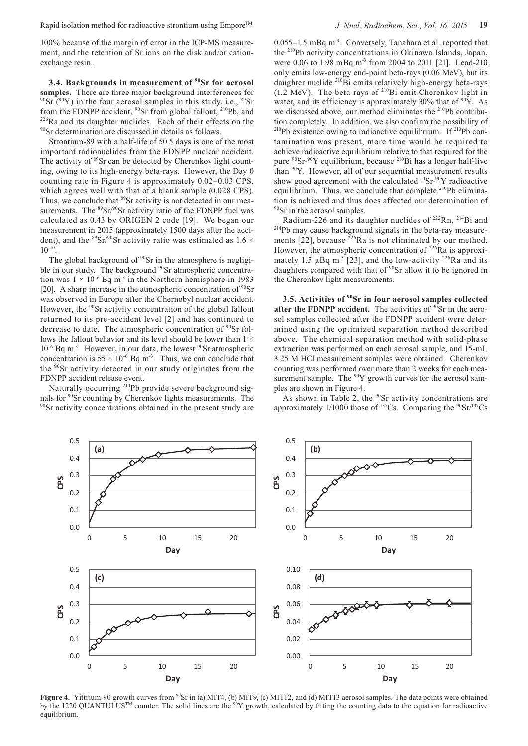Rapid isolation method for radioactive strontium using Empore<sup>TM</sup> *J. Nucl. Radiochem. Sci., Vol. 16, 2015* **19** 

100% because of the margin of error in the ICP-MS measurement, and the retention of Sr ions on the disk and/or cationexchange resin.

**3.4. Backgrounds in measurement of <sup>90</sup>Sr for aerosol samples.** There are three major background interferences for  $\frac{90}{9}$ Sr ( $\frac{90}{Y}$ ) in the four aerosol samples in this study, i.e.,  $\frac{89}{Y}$ Sr from the FDNPP accident, <sup>90</sup>Sr from global fallout, <sup>210</sup>Pb, and <sup>226</sup>Ra and its daughter nuclides. Each of their effects on the <sup>90</sup>Sr determination are discussed in details as follows.

Strontium-89 with a half-life of 50.5 days is one of the most important radionuclides from the FDNPP nuclear accident. The activity of <sup>89</sup>Sr can be detected by Cherenkov light counting, owing to its high-energy beta-rays. However, the Day 0 counting rate in Figure 4 is approximately 0.02–0.03 CPS, which agrees well with that of a blank sample (0.028 CPS). Thus, we conclude that <sup>89</sup>Sr activity is not detected in our measurements. The  ${}^{89}Sr/{}^{90}Sr$  activity ratio of the FDNPP fuel was calculated as 0.43 by ORIGEN 2 code [19]. We began our measurement in 2015 (approximately 1500 days after the accident), and the  ${}^{89}Sr/{}^{90}Sr$  activity ratio was estimated as 1.6  $\times$  $10^{-10}$ 

The global background of  $90$ Sr in the atmosphere is negligible in our study. The background <sup>90</sup>Sr atmospheric concentration was  $1 \times 10^{-6}$  Bq m<sup>-3</sup> in the Northern hemisphere in 1983 [20]. A sharp increase in the atmospheric concentration of  $\rm{^{90}Sr}$ was observed in Europe after the Chernobyl nuclear accident. However, the  $90$ Sr activity concentration of the global fallout returned to its pre-accident level [2] and has continued to decrease to date. The atmospheric concentration of <sup>90</sup>Sr follows the fallout behavior and its level should be lower than  $1 \times$  $10^{-6}$  Bq m<sup>-3</sup>. However, in our data, the lowest  $90$ Sr atmospheric concentration is  $55 \times 10^{-6}$  Bq m<sup>-3</sup>. Thus, we can conclude that the 90Sr activity detected in our study originates from the FDNPP accident release event.

Naturally occurring 210Pb provide severe background signals for <sup>90</sup>Sr counting by Cherenkov lights measurements. The 90<sub>Sr</sub> activity concentrations obtained in the present study are 0.055–1.5 mBq m<sup>-3</sup>. Conversely, Tanahara et al. reported that the 210Pb activity concentrations in Okinawa Islands, Japan, were 0.06 to 1.98 mBq m<sup>-3</sup> from 2004 to 2011 [21]. Lead-210 only emits low-energy end-point beta-rays (0.06 MeV), but its daughter nuclide <sup>210</sup>Bi emits relatively high-energy beta-rays (1.2 MeV). The beta-rays of  $2^{10}$ Bi emit Cherenkov light in water, and its efficiency is approximately  $30\%$  that of  $90\text{Y}$ . As we discussed above, our method eliminates the <sup>210</sup>Pb contribution completely. In addition, we also confirm the possibility of <sup>210</sup>Pb existence owing to radioactive equilibrium. If <sup>210</sup>Pb contamination was present, more time would be required to achieve radioactive equilibrium relative to that required for the pure 90Sr-90Y equilibrium, because 210Bi has a longer half-live than  $90Y$ . However, all of our sequential measurement results show good agreement with the calculated  $90\text{Sr}^{-90}\text{Y}$  radioactive equilibrium. Thus, we conclude that complete <sup>210</sup>Pb elimination is achieved and thus does affected our determination of

<sup>90</sup>Sr in the aerosol samples.<br>Radium-226 and its daughter nuclides of <sup>222</sup>Rn, <sup>214</sup>Bi and <sup>214</sup>Pb may cause background signals in the beta-ray measurements  $[22]$ , because  $^{226}$ Ra is not eliminated by our method. However, the atmospheric concentration of <sup>226</sup>Ra is approximately 1.5  $\mu$ Bq m<sup>-3</sup> [23], and the low-activity <sup>226</sup>Ra and its daughters compared with that of <sup>90</sup>Sr allow it to be ignored in the Cherenkov light measurements.

**3.5. Activities of 90Sr in four aerosol samples collected after the FDNPP accident.** The activities of <sup>90</sup>Sr in the aerosol samples collected after the FDNPP accident were determined using the optimized separation method described above. The chemical separation method with solid-phase extraction was performed on each aerosol sample, and 15-mL 3.25 M HCl measurement samples were obtained. Cherenkov counting was performed over more than 2 weeks for each measurement sample. The  $90Y$  growth curves for the aerosol samples are shown in Figure 4.

As shown in Table 2, the  $90$ Sr activity concentrations are approximately 1/1000 those of  $^{137}Cs$ . Comparing the  $^{90}Sr/^{137}Cs$ 



Figure 4. Yittrium-90 growth curves from <sup>90</sup>Sr in (a) MIT4, (b) MIT9, (c) MIT12, and (d) MIT13 aerosol samples. The data points were obtained by the 1220 QUANTULUS<sup>TM</sup> counter. The solid lines are the  $90Y$  growth, calculated by fitting the counting data to the equation for radioactive equilibrium.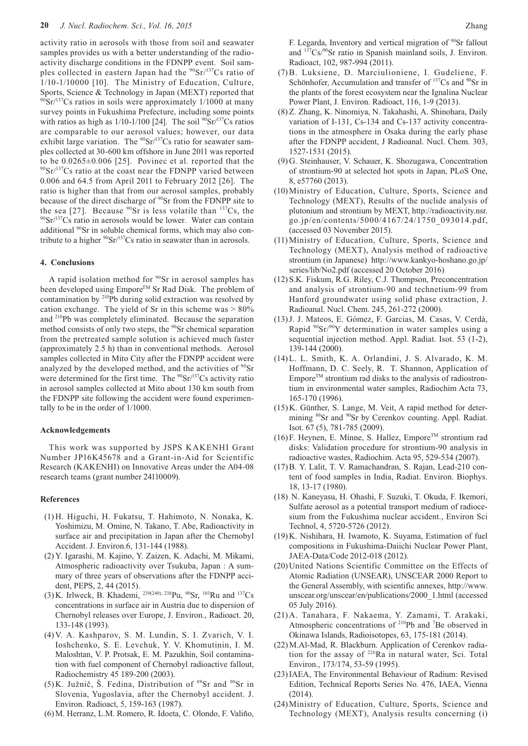activity ratio in aerosols with those from soil and seawater samples provides us with a better understanding of the radioactivity discharge conditions in the FDNPP event. Soil samples collected in eastern Japan had the  $90\text{Sr}/137\text{Cs}$  ratio of 1/10-1/10000 [10]. The Ministry of Education, Culture, Sports, Science & Technology in Japan (MEXT) reported that  $90\,\text{Sr}/137\,\text{Cs}$  ratios in soils were approximately 1/1000 at many survey points in Fukushima Prefecture, including some points with ratios as high as  $1/10-1/100$  [24]. The soil  $^{90}Sr/137Cs$  ratios are comparable to our aerosol values; however, our data exhibit large variation. The  $90\text{Sr}/137\text{Cs}$  ratio for seawater samples collected at 30-600 km offshore in June 2011 was reported to be 0.0265±0.006 [25]. Povinec et al. reported that the  $90\text{Sr}/137\text{Cs}$  ratio at the coast near the FDNPP varied between 0.006 and 64.5 from April 2011 to February 2012 [26]. The ratio is higher than that from our aerosol samples, probably because of the direct discharge of 90Sr from the FDNPP site to the sea [27]. Because  $^{90}$ Sr is less volatile than  $^{137}$ Cs, the  $^{90}$ Sr/<sup>137</sup>Cs ratio in aerosols would be lower. Water can contain additional <sup>90</sup>Sr in soluble chemical forms, which may also contribute to a higher  $90\text{Sr}/137\text{Cs}$  ratio in seawater than in aerosols.

#### **4. Conclusions**

A rapid isolation method for <sup>90</sup>Sr in aerosol samples has been developed using Empore<sup>TM</sup> Sr Rad Disk. The problem of contamination by 210Pb during solid extraction was resolved by cation exchange. The yield of Sr in this scheme was  $> 80\%$ and 210Pb was completely eliminated. Because the separation method consists of only two steps, the <sup>90</sup>Sr chemical separation from the pretreated sample solution is achieved much faster (approximately 2.5 h) than in conventional methods. Aerosol samples collected in Mito City after the FDNPP accident were analyzed by the developed method, and the activities of <sup>90</sup>Sr were determined for the first time. The  $90\text{Sr}/137\text{Cs}$  activity ratio in aerosol samples collected at Mito about 130 km south from the FDNPP site following the accident were found experimentally to be in the order of 1/1000.

## **Acknowledgements**

This work was supported by JSPS KAKENHI Grant Number JP16K45678 and a Grant-in-Aid for Scientific Research (KAKENHI) on Innovative Areas under the A04-08 research teams (grant number 24110009).

## **References**

- (1) H. Higuchi, H. Fukatsu, T. Hahimoto, N. Nonaka, K. Yoshimizu, M. Omine, N. Takano, T. Abe, Radioactivity in surface air and precipitation in Japan after the Chernobyl Accident. J. Environ.6, 131-144 (1988).
- (2) Y. Igarashi, M. Kajino, Y. Zaizen, K. Adachi, M. Mikami, Atmospheric radioactivity over Tsukuba, Japan : A summary of three years of observations after the FDNPP accident, PEPS, 2, 44 (2015).
- (3) K. Irlweck, B. Khademi, <sup>239(240), 238</sup>Pu, <sup>90</sup>Sr, <sup>103</sup>Ru and <sup>137</sup>Cs concentrations in surface air in Austria due to dispersion of Chernobyl releases over Europe, J. Environ., Radioact. 20, 133-148 (1993).
- (4) V. A. Kashparov, S. M. Lundin, S. I. Zvarich, V. I. Ioshchenko, S. E. Levchuk, Y. V. Khomutinin, I. M. Maloshtan, V. P. Protsak, E. M. Pazukhin, Soil contamination with fuel component of Chernobyl radioactive fallout, Radiochemistry 45 189-200 (2003).
- (5) K. Južnič, Š. Fedina, Distribution of 89Sr and 90Sr in Slovenia, Yugoslavia, after the Chernobyl accident. J. Environ. Radioact, 5, 159-163 (1987).
- (6) M. Herranz, L.M. Romero, R. Idoeta, C. Olondo, F. Valiño,

F. Legarda, Inventory and vertical migration of <sup>90</sup>Sr fallout and 137Cs/90Sr ratio in Spanish mainland soils, J. Environ. Radioact, 102, 987-994 (2011).

- (7) B. Luksiene, D. Marciulioniene, I. Gudeliene, F. Schönhofer, Accumulation and transfer of <sup>137</sup>Cs and <sup>90</sup>Sr in the plants of the forest ecosystem near the Ignalina Nuclear Power Plant, J. Environ. Radioact, 116, 1-9 (2013).
- (8) Z. Zhang, K. Ninomiya, N. Takahashi, A. Shinohara, Daily variation of I-131, Cs-134 and Cs-137 activity concentrations in the atmosphere in Osaka during the early phase after the FDNPP accident, J Radioanal. Nucl. Chem. 303, 1527-1531 (2015).
- (9) G. Steinhauser, V. Schauer, K. Shozugawa, Concentration of strontium-90 at selected hot spots in Japan, PLoS One, 8, e57760 (2013).
- (10) Ministry of Education, Culture, Sports, Science and Technology (MEXT), Results of the nuclide analysis of plutonium and strontium by MEXT, http://radioactivity.nsr. go.jp/en/contents/5000/4167/24/1750\_093014.pdf, (accessed 03 November 2015).
- (11) Ministry of Education, Culture, Sports, Science and Technology (MEXT), Analysis method of radioactive strontium (in Japanese) http://www.kankyo-hoshano.go.jp/ series/lib/No2.pdf (accessed 20 October 2016)
- (12) S.K. Fiskum, R.G. Riley, C.J. Thompson, Preconcentration and analysis of strontium-90 and technetium-99 from Hanford groundwater using solid phase extraction, J. Radioanal. Nucl. Chem. 245, 261-272 (2000).
- (13) J. J. Mateos, E. Gómez, F. Garcias, M. Casas, V. Cerdà, Rapid <sup>90</sup>Sr/<sup>90</sup>Y determination in water samples using a sequential injection method. Appl. Radiat. Isot. 53 (1-2), 139-144 (2000).
- (14) L. L. Smith, K. A. Orlandini, J. S. Alvarado, K. M. Hoffmann, D. C. Seely, R. T. Shannon, Application of Empore<sup>TM</sup> strontium rad disks to the analysis of radiostrontium in environmental water samples, Radiochim Acta 73, 165-170 (1996).
- (15) K. Günther, S. Lange, M. Veit, A rapid method for determining <sup>89</sup>Sr and <sup>90</sup>Sr by Cerenkov counting. Appl. Radiat. Isot. 67 (5), 781-785 (2009).
- (16) F. Heynen, E. Minne, S. Hallez, Empore<sup>TM</sup> strontium rad disks: Validation procedure for strontium-90 analysis in radioactive wastes, Radiochim. Acta 95, 529-534 (2007).
- (17) B. Y. Lalit, T. V. Ramachandran, S. Rajan, Lead-210 content of food samples in India, Radiat. Environ. Biophys. 18, 13-17 (1980).
- (18) N. Kaneyasu, H. Ohashi, F. Suzuki, T. Okuda, F. Ikemori, Sulfate aerosol as a potential transport medium of radiocesium from the Fukushima nuclear accident., Environ Sci Technol, 4, 5720-5726 (2012).
- (19) K. Nishihara, H. Iwamoto, K. Suyama, Estimation of fuel compositions in Fukushima-Daiichi Nuclear Power Plant, JAEA-Data/Code 2012-018 (2012).
- (20) United Nations Scientific Committee on the Effects of Atomic Radiation (UNSEAR), UNSCEAR 2000 Report to the General Assembly, with scientific annexes, http://www. unscear.org/unscear/en/publications/2000\_1.html (accessed 05 July 2016).
- (21) A. Tanahara, F. Nakaema, Y. Zamami, T. Arakaki, Atmospheric concentrations of <sup>210</sup>Pb and <sup>7</sup>Be observed in Okinawa Islands, Radioisotopes, 63, 175-181 (2014).
- (22) M.Al-Mad, R. Blackburn. Application of Cerenkov radiation for the assay of 226Ra in natural water, Sci. Total Environ., 173/174, 53-59 (1995).
- (23) IAEA, The Environmental Behaviour of Radium: Revised Edition, Technical Reports Series No. 476, IAEA, Vienna (2014).
- (24) Ministry of Education, Culture, Sports, Science and Technology (MEXT), Analysis results concerning (i)